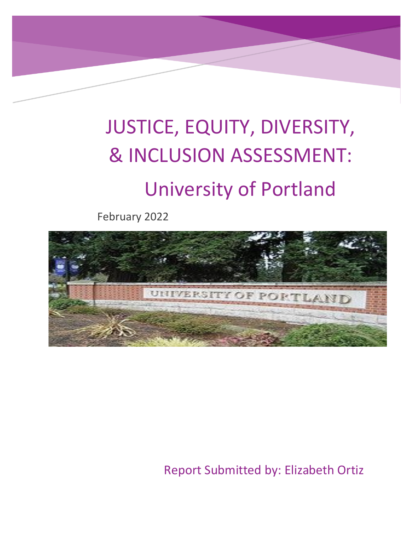# JUSTICE, EQUITY, DIVERSITY, & INCLUSION ASSESSMENT: University of Portland

February 2022



Report Submitted by: Elizabeth Ortiz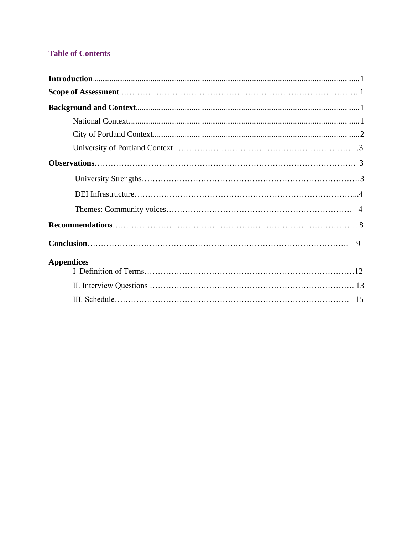# **Table of Contents**

| <b>Appendices</b> |  |
|-------------------|--|
|                   |  |
|                   |  |
|                   |  |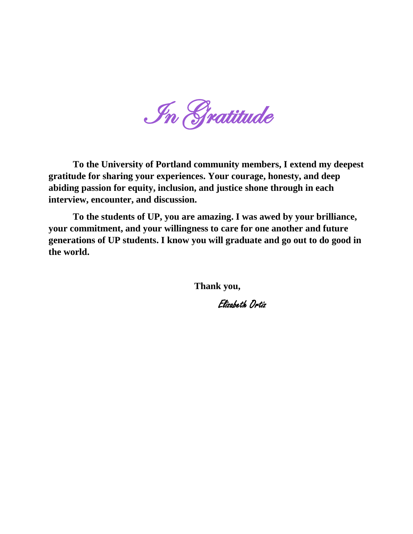In Gratitude

**To the University of Portland community members, I extend my deepest gratitude for sharing your experiences. Your courage, honesty, and deep abiding passion for equity, inclusion, and justice shone through in each interview, encounter, and discussion.** 

**To the students of UP, you are amazing. I was awed by your brilliance, your commitment, and your willingness to care for one another and future generations of UP students. I know you will graduate and go out to do good in the world.**

**Thank you,** 

Elizabeth Ortiz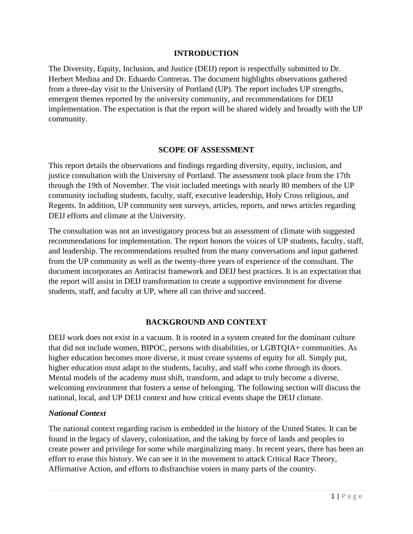#### **INTRODUCTION**

The Diversity, Equity, Inclusion, and Justice (DEIJ) report is respectfully submitted to Dr. Herbert Medina and Dr. Eduardo Contreras. The document highlights observations gathered from a three-day visit to the University of Portland (UP). The report includes UP strengths, emergent themes reported by the university community, and recommendations for DEIJ implementation. The expectation is that the report will be shared widely and broadly with the UP community.

#### **SCOPE OF ASSESSMENT**

This report details the observations and findings regarding diversity, equity, inclusion, and justice consultation with the University of Portland. The assessment took place from the 17th through the 19th of November. The visit included meetings with nearly 80 members of the UP community including students, faculty, staff, executive leadership, Holy Cross religious, and Regents. In addition, UP community sent surveys, articles, reports, and news articles regarding DEIJ efforts and climate at the University.

The consultation was not an investigatory process but an assessment of climate with suggested recommendations for implementation. The report honors the voices of UP students, faculty, staff, and leadership. The recommendations resulted from the many conversations and input gathered from the UP community as well as the twenty-three years of experience of the consultant. The document incorporates an Antiracist framework and DEIJ best practices. It is an expectation that the report will assist in DEIJ transformation to create a supportive environment for diverse students, staff, and faculty at UP, where all can thrive and succeed.

#### **BACKGROUND AND CONTEXT**

DEIJ work does not exist in a vacuum. It is rooted in a system created for the dominant culture that did not include women, BIPOC, persons with disabilities, or LGBTQIA+ communities. As higher education becomes more diverse, it must create systems of equity for all. Simply put, higher education must adapt to the students, faculty, and staff who come through its doors. Mental models of the academy must shift, transform, and adapt to truly become a diverse, welcoming environment that fosters a sense of belonging. The following section will discuss the national, local, and UP DEIJ context and how critical events shape the DEIJ climate.

#### *National Context*

The national context regarding racism is embedded in the history of the United States. It can be found in the legacy of slavery, colonization, and the taking by force of lands and peoples to create power and privilege for some while marginalizing many. In recent years, there has been an effort to erase this history. We can see it in the movement to attack Critical Race Theory, Affirmative Action, and efforts to disfranchise voters in many parts of the country.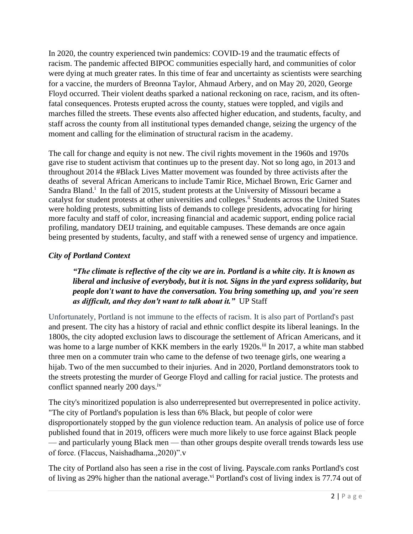In 2020, the country experienced twin pandemics: COVID-19 and the traumatic effects of racism. The pandemic affected BIPOC communities especially hard, and communities of color were dying at much greater rates. In this time of fear and uncertainty as scientists were searching for a vaccine, the murders of Breonna Taylor, Ahmaud Arbery, and on May 20, 2020, George Floyd occurred. Their violent deaths sparked a national reckoning on race, racism, and its oftenfatal consequences. Protests erupted across the county, statues were toppled, and vigils and marches filled the streets. These events also affected higher education, and students, faculty, and staff across the county from all institutional types demanded change, seizing the urgency of the moment and calling for the elimination of structural racism in the academy.

The call for change and equity is not new. The civil rights movement in the 1960s and 1970s gave rise to student activism that continues up to the present day. Not so long ago, in 2013 and throughout 2014 the #Black Lives Matter movement was founded by three activists after the deaths of several African Americans to include Tamir Rice, Michael Brown, Eric Garner and Sandra Bland.<sup>i</sup> In the fall of 2015, student protests at the University of Missouri became a catalyst for student protests at other universities and colleges.<sup>ii</sup> Students across the United States were holding protests, submitting lists of demands to college presidents, advocating for hiring more faculty and staff of color, increasing financial and academic support, ending police racial profiling, mandatory DEIJ training, and equitable campuses. These demands are once again being presented by students, faculty, and staff with a renewed sense of urgency and impatience.

# *City of Portland Context*

## *"The climate is reflective of the city we are in. Portland is a white city. It is known as liberal and inclusive of everybody, but it is not. Signs in the yard express solidarity, but people don't want to have the conversation. You bring something up, and you're seen as difficult, and they don't want to talk about it."* UP Staff

Unfortunately, Portland is not immune to the effects of racism. It is also part of Portland's past and present. The city has a history of racial and ethnic conflict despite its liberal leanings. In the 1800s, the city adopted exclusion laws to discourage the settlement of African Americans, and it was home to a large number of KKK members in the early 1920s.<sup>iii</sup> In 2017, a white man stabbed three men on a commuter train who came to the defense of two teenage girls, one wearing a hijab. Two of the men succumbed to their injuries. And in 2020, Portland demonstrators took to the streets protesting the murder of George Floyd and calling for racial justice. The protests and conflict spanned nearly 200 days.<sup>iv</sup>

The city's minoritized population is also underrepresented but overrepresented in police activity. "The city of Portland's population is less than 6% Black, but people of color were disproportionately stopped by the gun violence reduction team. An [analysis](https://assets.documentcloud.org/documents/7016734/PPB-Report-Patterns-in-the-Use-of-Force-7-2020.pdf) of police use of force published found that in 2019, officers were much more likely to use force against Black people — and particularly young Black men — than other groups despite overall trends towards less use of force. (Flaccus, Naishadhama.,2020)".v

The city of Portland also has seen a rise in the cost of living. Payscale.com ranks Portland's cost of living as 29% higher than the national average.<sup>vi</sup> Portland's cost of living index is 77.74 out of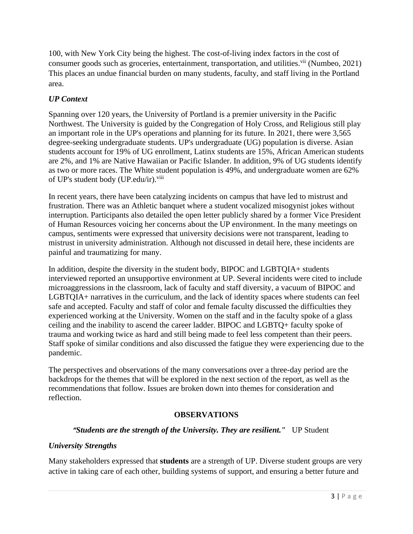100, with New York City being the highest. The cost-of-living index factors in the cost of consumer goods such as groceries, entertainment, transportation, and utilities.<sup>vii</sup> (Numbeo, 2021) This places an undue financial burden on many students, faculty, and staff living in the Portland area.

## *UP Context*

Spanning over 120 years, the University of Portland is a premier university in the Pacific Northwest. The University is guided by the Congregation of Holy Cross, and Religious still play an important role in the UP's operations and planning for its future. In 2021, there were 3,565 degree-seeking undergraduate students. UP's undergraduate (UG) population is diverse. Asian students account for 19% of UG enrollment, Latinx students are 15%, African American students are 2%, and 1% are Native Hawaiian or Pacific Islander. In addition, 9% of UG students identify as two or more races. The White student population is 49%, and undergraduate women are 62% of UP's student body (UP.edu/ir).<sup>viii</sup>

In recent years, there have been catalyzing incidents on campus that have led to mistrust and frustration. There was an Athletic banquet where a student vocalized misogynist jokes without interruption. Participants also detailed the open letter publicly shared by a former Vice President of Human Resources voicing her concerns about the UP environment. In the many meetings on campus, sentiments were expressed that university decisions were not transparent, leading to mistrust in university administration. Although not discussed in detail here, these incidents are painful and traumatizing for many.

In addition, despite the diversity in the student body, BIPOC and LGBTQIA+ students interviewed reported an unsupportive environment at UP. Several incidents were cited to include microaggressions in the classroom, lack of faculty and staff diversity, a vacuum of BIPOC and LGBTQIA+ narratives in the curriculum, and the lack of identity spaces where students can feel safe and accepted. Faculty and staff of color and female faculty discussed the difficulties they experienced working at the University. Women on the staff and in the faculty spoke of a glass ceiling and the inability to ascend the career ladder. BIPOC and LGBTQ+ faculty spoke of trauma and working twice as hard and still being made to feel less competent than their peers. Staff spoke of similar conditions and also discussed the fatigue they were experiencing due to the pandemic.

The perspectives and observations of the many conversations over a three-day period are the backdrops for the themes that will be explored in the next section of the report, as well as the recommendations that follow. Issues are broken down into themes for consideration and reflection.

#### **OBSERVATIONS**

#### *"Students are the strength of the University. They are resilient."* UP Student

#### *University Strengths*

Many stakeholders expressed that **students** are a strength of UP. Diverse student groups are very active in taking care of each other, building systems of support, and ensuring a better future and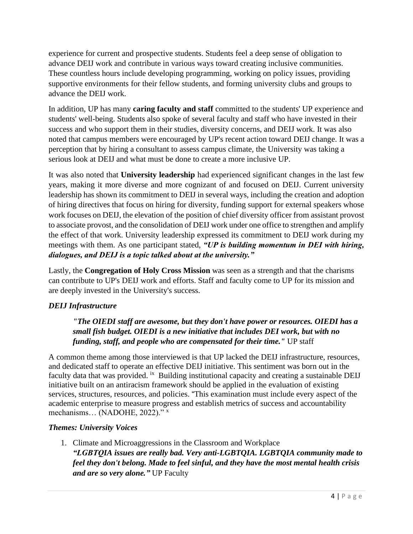experience for current and prospective students. Students feel a deep sense of obligation to advance DEIJ work and contribute in various ways toward creating inclusive communities. These countless hours include developing programming, working on policy issues, providing supportive environments for their fellow students, and forming university clubs and groups to advance the DEIJ work.

In addition, UP has many **caring faculty and staff** committed to the students' UP experience and students' well-being. Students also spoke of several faculty and staff who have invested in their success and who support them in their studies, diversity concerns, and DEIJ work. It was also noted that campus members were encouraged by UP's recent action toward DEIJ change. It was a perception that by hiring a consultant to assess campus climate, the University was taking a serious look at DEIJ and what must be done to create a more inclusive UP.

It was also noted that **University leadership** had experienced significant changes in the last few years, making it more diverse and more cognizant of and focused on DEIJ. Current university leadership has shown its commitment to DEIJ in several ways, including the creation and adoption of hiring directives that focus on hiring for diversity, funding support for external speakers whose work focuses on DEIJ, the elevation of the position of chief diversity officer from assistant provost to associate provost, and the consolidation of DEIJ work under one office to strengthen and amplify the effect of that work. University leadership expressed its commitment to DEIJ work during my meetings with them. As one participant stated, *"UP is building momentum in DEI with hiring, dialogues, and DEIJ is a topic talked about at the university."*

Lastly, the **Congregation of Holy Cross Mission** was seen as a strength and that the charisms can contribute to UP's DEIJ work and efforts. Staff and faculty come to UP for its mission and are deeply invested in the University's success.

# *DEIJ Infrastructure*

*"The OIEDI staff are awesome, but they don't have power or resources. OIEDI has a small fish budget. OIEDI is a new initiative that includes DEI work, but with no funding, staff, and people who are compensated for their time."* UP staff

A common theme among those interviewed is that UP lacked the DEIJ infrastructure, resources, and dedicated staff to operate an effective DEIJ initiative. This sentiment was born out in the faculty data that was provided. <sup>ix</sup> Building institutional capacity and creating a sustainable DEIJ initiative built on an antiracism framework should be applied in the evaluation of existing services, structures, resources, and policies. "This examination must include every aspect of the academic enterprise to measure progress and establish metrics of success and accountability mechanisms... (NADOHE, 2022)." x

# *Themes: University Voices*

1. Climate and Microaggressions in the Classroom and Workplace *"LGBTQIA issues are really bad. Very anti-LGBTQIA. LGBTQIA community made to feel they don't belong. Made to feel sinful, and they have the most mental health crisis and are so very alone."* UP Faculty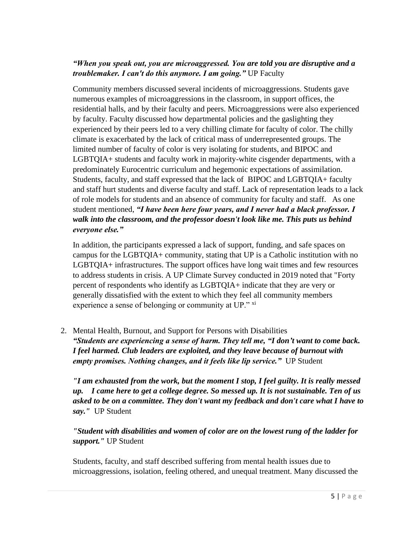## *"When you speak out, you are microaggressed. You are told you are disruptive and a troublemaker. I can't do this anymore. I am going."* UP Faculty

Community members discussed several incidents of microaggressions. Students gave numerous examples of microaggressions in the classroom, in support offices, the residential halls, and by their faculty and peers. Microaggressions were also experienced by faculty. Faculty discussed how departmental policies and the gaslighting they experienced by their peers led to a very chilling climate for faculty of color. The chilly climate is exacerbated by the lack of critical mass of underrepresented groups. The limited number of faculty of color is very isolating for students, and BIPOC and LGBTQIA+ students and faculty work in majority-white cisgender departments, with a predominately Eurocentric curriculum and hegemonic expectations of assimilation. Students, faculty, and staff expressed that the lack of BIPOC and LGBTQIA+ faculty and staff hurt students and diverse faculty and staff. Lack of representation leads to a lack of role models for students and an absence of community for faculty and staff. As one student mentioned, *"I have been here four years, and I never had a black professor. I walk into the classroom, and the professor doesn't look like me. This puts us behind everyone else."* 

In addition, the participants expressed a lack of support, funding, and safe spaces on campus for the LGBTQIA+ community, stating that UP is a Catholic institution with no LGBTQIA+ infrastructures. The support offices have long wait times and few resources to address students in crisis. A UP Climate Survey conducted in 2019 noted that "Forty percent of respondents who identify as LGBTQIA+ indicate that they are very or generally dissatisfied with the extent to which they feel all community members experience a sense of belonging or community at UP." xi

2. Mental Health, Burnout, and Support for Persons with Disabilities *"Students are experiencing a sense of harm. They tell me, "I don't want to come back. I feel harmed. Club leaders are exploited, and they leave because of burnout with empty promises. Nothing changes, and it feels like lip service."* UP Student

*"I am exhausted from the work, but the moment I stop, I feel guilty. It is really messed up. I came here to get a college degree. So messed up. It is not sustainable. Ten of us asked to be on a committee. They don't want my feedback and don't care what I have to say."* UP Student

*"Student with disabilities and women of color are on the lowest rung of the ladder for support."* UP Student

Students, faculty, and staff described suffering from mental health issues due to microaggressions, isolation, feeling othered, and unequal treatment. Many discussed the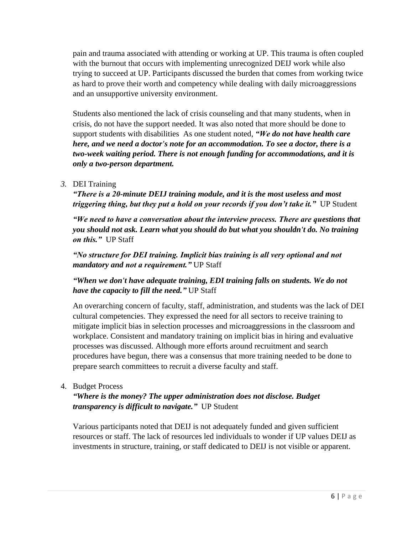pain and trauma associated with attending or working at UP. This trauma is often coupled with the burnout that occurs with implementing unrecognized DEIJ work while also trying to succeed at UP. Participants discussed the burden that comes from working twice as hard to prove their worth and competency while dealing with daily microaggressions and an unsupportive university environment.

Students also mentioned the lack of crisis counseling and that many students, when in crisis, do not have the support needed. It was also noted that more should be done to support students with disabilities. As one student noted, *"We do not have health care here, and we need a doctor's note for an accommodation. To see a doctor, there is a two-week waiting period. There is not enough funding for accommodations, and it is only a two-person department.* 

## *3.* DEI Training

*"There is a 20-minute DEIJ training module, and it is the most useless and most triggering thing, but they put a hold on your records if you don't take it.*" UP Student

*"We need to have a conversation about the interview process. There are questions that you should not ask. Learn what you should do but what you shouldn't do. No training on this."* UP Staff

*"No structure for DEI training. Implicit bias training is all very optional and not mandatory and not a requirement."* UP Staff

# *"When we don't have adequate training, EDI training falls on students. We do not have the capacity to fill the need."* UP Staff

An overarching concern of faculty, staff, administration, and students was the lack of DEI cultural competencies. They expressed the need for all sectors to receive training to mitigate implicit bias in selection processes and microaggressions in the classroom and workplace. Consistent and mandatory training on implicit bias in hiring and evaluative processes was discussed. Although more efforts around recruitment and search procedures have begun, there was a consensus that more training needed to be done to prepare search committees to recruit a diverse faculty and staff.

#### 4. Budget Process

## *"Where is the money? The upper administration does not disclose. Budget transparency is difficult to navigate."* UP Student

Various participants noted that DEIJ is not adequately funded and given sufficient resources or staff. The lack of resources led individuals to wonder if UP values DEIJ as investments in structure, training, or staff dedicated to DEIJ is not visible or apparent.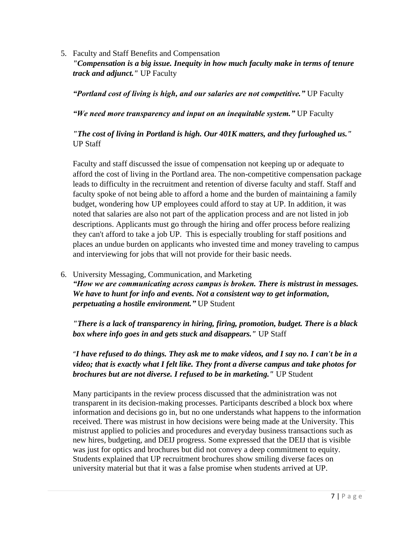5. Faculty and Staff Benefits and Compensation

*"Compensation is a big issue. Inequity in how much faculty make in terms of tenure track and adjunct."* UP Faculty

*"Portland cost of living is high, and our salaries are not competitive."* UP Faculty

*"We need more transparency and input on an inequitable system."* UP Faculty

# *"The cost of living in Portland is high. Our 401K matters, and they furloughed us."* UP Staff

Faculty and staff discussed the issue of compensation not keeping up or adequate to afford the cost of living in the Portland area. The non-competitive compensation package leads to difficulty in the recruitment and retention of diverse faculty and staff. Staff and faculty spoke of not being able to afford a home and the burden of maintaining a family budget, wondering how UP employees could afford to stay at UP. In addition, it was noted that salaries are also not part of the application process and are not listed in job descriptions. Applicants must go through the hiring and offer process before realizing they can't afford to take a job UP. This is especially troubling for staff positions and places an undue burden on applicants who invested time and money traveling to campus and interviewing for jobs that will not provide for their basic needs.

6. University Messaging, Communication, and Marketing *"How we are communicating across campus is broken. There is mistrust in messages. We have to hunt for info and events. Not a consistent way to get information, perpetuating a hostile environment."* UP Student

*"There is a lack of transparency in hiring, firing, promotion, budget. There is a black box where info goes in and gets stuck and disappears."* UP Staff

"*I have refused to do things. They ask me to make videos, and I say no. I can't be in a video; that is exactly what I felt like. They front a diverse campus and take photos for brochures but are not diverse. I refused to be in marketing."* UP Student

Many participants in the review process discussed that the administration was not transparent in its decision-making processes. Participants described a block box where information and decisions go in, but no one understands what happens to the information received. There was mistrust in how decisions were being made at the University. This mistrust applied to policies and procedures and everyday business transactions such as new hires, budgeting, and DEIJ progress. Some expressed that the DEIJ that is visible was just for optics and brochures but did not convey a deep commitment to equity. Students explained that UP recruitment brochures show smiling diverse faces on university material but that it was a false promise when students arrived at UP.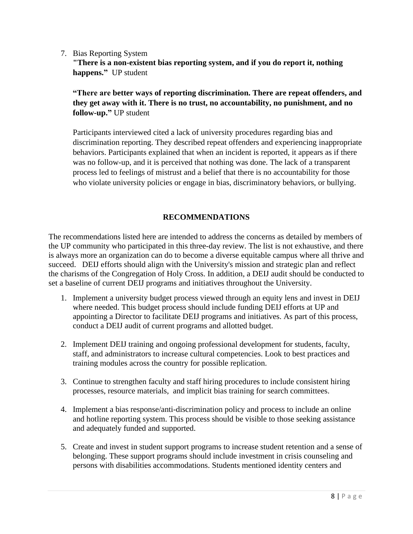7. Bias Reporting System

**"There is a non-existent bias reporting system, and if you do report it, nothing happens."** UP student

**"There are better ways of reporting discrimination. There are repeat offenders, and they get away with it. There is no trust, no accountability, no punishment, and no follow-up."** UP student

Participants interviewed cited a lack of university procedures regarding bias and discrimination reporting. They described repeat offenders and experiencing inappropriate behaviors. Participants explained that when an incident is reported, it appears as if there was no follow-up, and it is perceived that nothing was done. The lack of a transparent process led to feelings of mistrust and a belief that there is no accountability for those who violate university policies or engage in bias, discriminatory behaviors, or bullying.

# **RECOMMENDATIONS**

The recommendations listed here are intended to address the concerns as detailed by members of the UP community who participated in this three-day review. The list is not exhaustive, and there is always more an organization can do to become a diverse equitable campus where all thrive and succeed. DEIJ efforts should align with the University's mission and strategic plan and reflect the charisms of the Congregation of Holy Cross. In addition, a DEIJ audit should be conducted to set a baseline of current DEIJ programs and initiatives throughout the University.

- 1. Implement a university budget process viewed through an equity lens and invest in DEIJ where needed. This budget process should include funding DEIJ efforts at UP and appointing a Director to facilitate DEIJ programs and initiatives. As part of this process, conduct a DEIJ audit of current programs and allotted budget.
- 2. Implement DEIJ training and ongoing professional development for students, faculty, staff, and administrators to increase cultural competencies. Look to best practices and training modules across the country for possible replication.
- 3. Continue to strengthen faculty and staff hiring procedures to include consistent hiring processes, resource materials, and implicit bias training for search committees.
- 4. Implement a bias response/anti-discrimination policy and process to include an online and hotline reporting system. This process should be visible to those seeking assistance and adequately funded and supported.
- 5. Create and invest in student support programs to increase student retention and a sense of belonging. These support programs should include investment in crisis counseling and persons with disabilities accommodations. Students mentioned identity centers and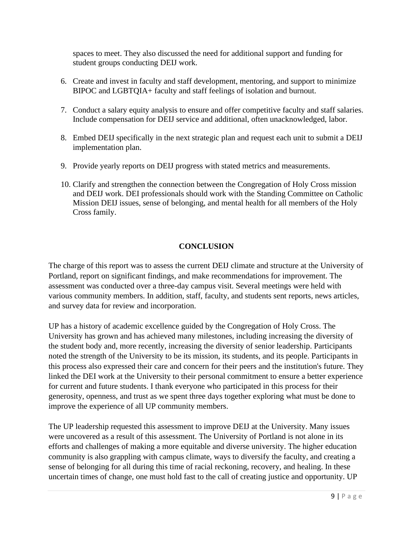spaces to meet. They also discussed the need for additional support and funding for student groups conducting DEIJ work.

- 6. Create and invest in faculty and staff development, mentoring, and support to minimize BIPOC and LGBTQIA+ faculty and staff feelings of isolation and burnout.
- 7. Conduct a salary equity analysis to ensure and offer competitive faculty and staff salaries. Include compensation for DEIJ service and additional, often unacknowledged, labor.
- 8. Embed DEIJ specifically in the next strategic plan and request each unit to submit a DEIJ implementation plan.
- 9. Provide yearly reports on DEIJ progress with stated metrics and measurements.
- 10. Clarify and strengthen the connection between the Congregation of Holy Cross mission and DEIJ work. DEI professionals should work with the Standing Committee on Catholic Mission DEIJ issues, sense of belonging, and mental health for all members of the Holy Cross family.

#### **CONCLUSION**

The charge of this report was to assess the current DEIJ climate and structure at the University of Portland, report on significant findings, and make recommendations for improvement. The assessment was conducted over a three-day campus visit. Several meetings were held with various community members. In addition, staff, faculty, and students sent reports, news articles, and survey data for review and incorporation.

UP has a history of academic excellence guided by the Congregation of Holy Cross. The University has grown and has achieved many milestones, including increasing the diversity of the student body and, more recently, increasing the diversity of senior leadership. Participants noted the strength of the University to be its mission, its students, and its people. Participants in this process also expressed their care and concern for their peers and the institution's future. They linked the DEI work at the University to their personal commitment to ensure a better experience for current and future students. I thank everyone who participated in this process for their generosity, openness, and trust as we spent three days together exploring what must be done to improve the experience of all UP community members.

The UP leadership requested this assessment to improve DEIJ at the University. Many issues were uncovered as a result of this assessment. The University of Portland is not alone in its efforts and challenges of making a more equitable and diverse university. The higher education community is also grappling with campus climate, ways to diversify the faculty, and creating a sense of belonging for all during this time of racial reckoning, recovery, and healing. In these uncertain times of change, one must hold fast to the call of creating justice and opportunity. UP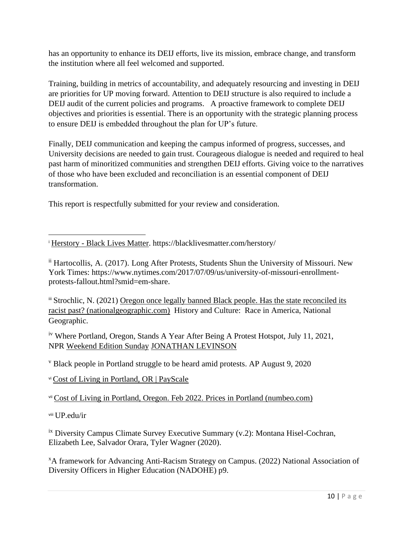has an opportunity to enhance its DEIJ efforts, live its mission, embrace change, and transform the institution where all feel welcomed and supported.

Training, building in metrics of accountability, and adequately resourcing and investing in DEIJ are priorities for UP moving forward. Attention to DEIJ structure is also required to include a DEIJ audit of the current policies and programs. A proactive framework to complete DEIJ objectives and priorities is essential. There is an opportunity with the strategic planning process to ensure DEIJ is embedded throughout the plan for UP's future.

Finally, DEIJ communication and keeping the campus informed of progress, successes, and University decisions are needed to gain trust. Courageous dialogue is needed and required to heal past harm of minoritized communities and strengthen DEIJ efforts. Giving voice to the narratives of those who have been excluded and reconciliation is an essential component of DEIJ transformation.

This report is respectfully submitted for your review and consideration.

<sup>i</sup> Herstory - [Black Lives Matter.](https://blacklivesmatter.com/herstory/) https://blacklivesmatter.com/herstory/

ii Hartocollis, A. (2017). Long After Protests, Students Shun the University of Missouri. New York Times: https://www.nytimes.com/2017/07/09/us/university-of-missouri-enrollmentprotests-fallout.html?smid=em-share.

iii Strochlic, N. (2021) [Oregon once legally banned Black people. Has the state reconciled its](https://www.nationalgeographic.com/history/article/oregon-once-legally-barred-black-people-has-the-state-reconciled-its-racist-past)  [racist past? \(nationalgeographic.com\)](https://www.nationalgeographic.com/history/article/oregon-once-legally-barred-black-people-has-the-state-reconciled-its-racist-past) History and Culture: Race in America, National Geographic.

<sup>iv</sup> Where Portland, Oregon, Stands A Year After Being A Protest Hotspot, July 11, 2021, NPR [Weekend](https://www.npr.org/programs/weekend-edition-sunday/2021/07/11/1014815129/weekend-edition-sunday-for-july-11-2021) Edition Sunday [JONATHAN](https://www.npr.org/templates/story/story.php?storyId=907371277) LEVINSON

<sup>v</sup> Black people in Portland struggle to be heard amid protests. AP August 9, 2020

vi [Cost of Living in Portland, OR | PayScale](https://www.payscale.com/cost-of-living-calculator/Oregon-Portland)

vii [Cost of Living in Portland, Oregon. Feb 2022. Prices in Portland \(numbeo.com\)](https://www.numbeo.com/cost-of-living/in/Portland)

viii UP.edu/ir

<sup>ix</sup> Diversity Campus Climate Survey Executive Summary (v.2): Montana Hisel-Cochran, Elizabeth Lee, Salvador Orara, Tyler Wagner (2020).

<sup>x</sup>A framework for Advancing Anti-Racism Strategy on Campus. (2022) National Association of Diversity Officers in Higher Education (NADOHE) p9.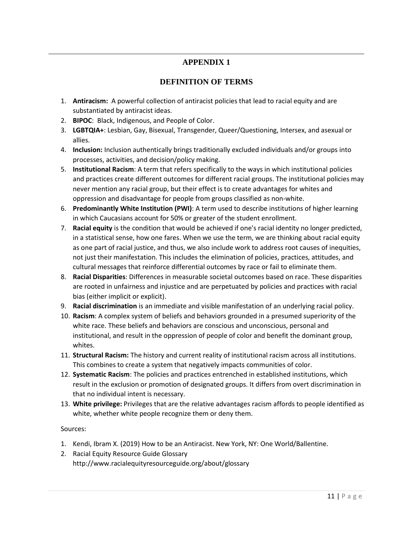# **APPENDIX 1**

## **DEFINITION OF TERMS**

- 1. **Antiracism:** A powerful collection of antiracist policies that lead to racial equity and are substantiated by antiracist ideas.
- 2. **BIPOC**: Black, Indigenous, and People of Color.
- 3. **LGBTQIA+**: Lesbian, Gay, Bisexual, Transgender, Queer/Questioning, Intersex, and asexual or allies.
- 4. **Inclusion:** Inclusion authentically brings traditionally excluded individuals and/or groups into processes, activities, and decision/policy making.
- 5. **Institutional Racism**: A term that refers specifically to the ways in which institutional policies and practices create different outcomes for different racial groups. The institutional policies may never mention any racial group, but their effect is to create advantages for whites and oppression and disadvantage for people from groups classified as non-white.
- 6. **Predominantly White Institution (PWI)**: A term used to describe institutions of higher learning in which Caucasians account for 50% or greater of the student enrollment.
- 7. **Racial equity** is the condition that would be achieved if one's racial identity no longer predicted, in a statistical sense, how one fares. When we use the term, we are thinking about racial equity as one part of racial justice, and thus, we also include work to address root causes of inequities, not just their manifestation. This includes the elimination of policies, practices, attitudes, and cultural messages that reinforce differential outcomes by race or fail to eliminate them.
- 8. **Racial Disparities**: Differences in measurable societal outcomes based on race. These disparities are rooted in unfairness and injustice and are perpetuated by policies and practices with racial bias (either implicit or explicit).
- 9. **Racial discrimination** is an immediate and visible manifestation of an underlying racial policy.
- 10. **Racism**: A complex system of beliefs and behaviors grounded in a presumed superiority of the white race. These beliefs and behaviors are conscious and unconscious, personal and institutional, and result in the oppression of people of color and benefit the dominant group, whites.
- 11. **Structural Racism:** The history and current reality of institutional racism across all institutions. This combines to create a system that negatively impacts communities of color.
- 12. **Systematic Racism**: The policies and practices entrenched in established institutions, which result in the exclusion or promotion of designated groups. It differs from overt discrimination in that no individual intent is necessary.
- 13. **White privilege:** Privileges that are the relative advantages racism affords to people identified as white, whether white people recognize them or deny them.

#### Sources:

- 1. Kendi, Ibram X. (2019) How to be an Antiracist. New York, NY: One World/Ballentine.
- 2. Racial Equity Resource Guide Glossary http://www.racialequityresourceguide.org/about/glossary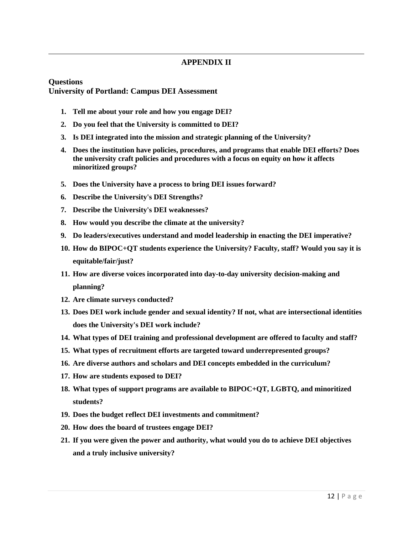#### **APPENDIX II**

#### **Questions University of Portland: Campus DEI Assessment**

- **1. Tell me about your role and how you engage DEI?**
- **2. Do you feel that the University is committed to DEI?**
- **3. Is DEI integrated into the mission and strategic planning of the University?**
- **4. Does the institution have policies, procedures, and programs that enable DEI efforts? Does the university craft policies and procedures with a focus on equity on how it affects minoritized groups?**
- **5. Does the University have a process to bring DEI issues forward?**
- **6. Describe the University's DEI Strengths?**
- **7. Describe the University's DEI weaknesses?**
- **8. How would you describe the climate at the university?**
- **9. Do leaders/executives understand and model leadership in enacting the DEI imperative?**
- **10. How do BIPOC+QT students experience the University? Faculty, staff? Would you say it is equitable/fair/just?**
- **11. How are diverse voices incorporated into day-to-day university decision-making and planning?**
- **12. Are climate surveys conducted?**
- **13. Does DEI work include gender and sexual identity? If not, what are intersectional identities does the University's DEI work include?**
- **14. What types of DEI training and professional development are offered to faculty and staff?**
- **15. What types of recruitment efforts are targeted toward underrepresented groups?**
- **16. Are diverse authors and scholars and DEI concepts embedded in the curriculum?**
- **17. How are students exposed to DEI?**
- **18. What types of support programs are available to BIPOC+QT, LGBTQ, and minoritized students?**
- **19. Does the budget reflect DEI investments and commitment?**
- **20. How does the board of trustees engage DEI?**
- **21. If you were given the power and authority, what would you do to achieve DEI objectives and a truly inclusive university?**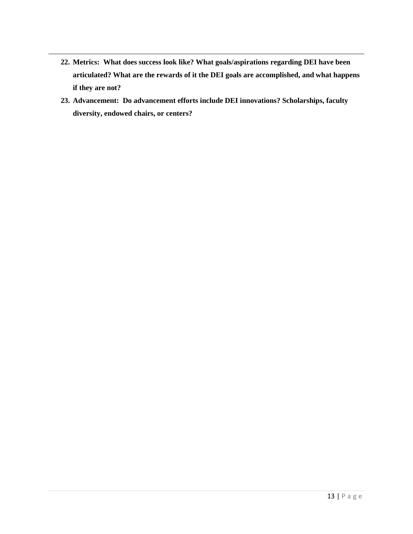- **22. Metrics: What does success look like? What goals/aspirations regarding DEI have been articulated? What are the rewards of it the DEI goals are accomplished, and what happens if they are not?**
- **23. Advancement: Do advancement efforts include DEI innovations? Scholarships, faculty diversity, endowed chairs, or centers?**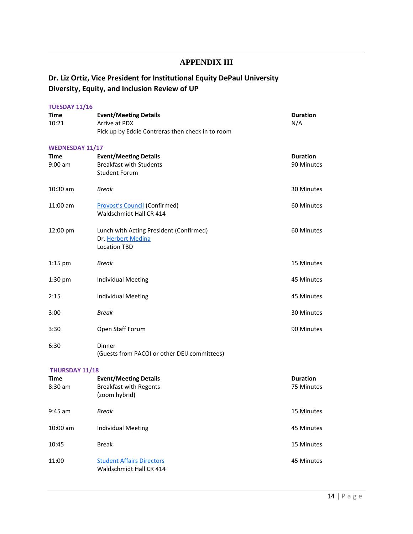## **APPENDIX III**

# **Dr. Liz Ortiz, Vice President for Institutional Equity DePaul University Diversity, Equity, and Inclusion Review of UP**

| <b>TUESDAY 11/16</b>   |                                                             |                 |  |  |  |  |
|------------------------|-------------------------------------------------------------|-----------------|--|--|--|--|
| Time                   | <b>Event/Meeting Details</b>                                | <b>Duration</b> |  |  |  |  |
| 10:21                  | Arrive at PDX                                               | N/A             |  |  |  |  |
|                        | Pick up by Eddie Contreras then check in to room            |                 |  |  |  |  |
| <b>WEDNESDAY 11/17</b> |                                                             |                 |  |  |  |  |
| Time                   | <b>Event/Meeting Details</b>                                | <b>Duration</b> |  |  |  |  |
| $9:00$ am              | <b>Breakfast with Students</b>                              | 90 Minutes      |  |  |  |  |
|                        | <b>Student Forum</b>                                        |                 |  |  |  |  |
| $10:30$ am             | Break                                                       | 30 Minutes      |  |  |  |  |
| 11:00 am               | <b>Provost's Council (Confirmed)</b>                        | 60 Minutes      |  |  |  |  |
|                        | Waldschmidt Hall CR 414                                     |                 |  |  |  |  |
| 12:00 pm               | Lunch with Acting President (Confirmed)                     | 60 Minutes      |  |  |  |  |
|                        | Dr. Herbert Medina                                          |                 |  |  |  |  |
|                        | <b>Location TBD</b>                                         |                 |  |  |  |  |
| $1:15$ pm              | <b>Break</b>                                                | 15 Minutes      |  |  |  |  |
|                        |                                                             |                 |  |  |  |  |
| $1:30$ pm              | Individual Meeting                                          | 45 Minutes      |  |  |  |  |
| 2:15                   | <b>Individual Meeting</b>                                   | 45 Minutes      |  |  |  |  |
| 3:00                   | Break                                                       | 30 Minutes      |  |  |  |  |
| 3:30                   | Open Staff Forum                                            | 90 Minutes      |  |  |  |  |
| 6:30                   | Dinner                                                      |                 |  |  |  |  |
|                        | (Guests from PACOI or other DEIJ committees)                |                 |  |  |  |  |
| THURSDAY 11/18         |                                                             |                 |  |  |  |  |
| Time                   | <b>Event/Meeting Details</b>                                | <b>Duration</b> |  |  |  |  |
| $8:30$ am              | <b>Breakfast with Regents</b>                               | 75 Minutes      |  |  |  |  |
|                        | (zoom hybrid)                                               |                 |  |  |  |  |
| $9:45$ am              | <b>Break</b>                                                | 15 Minutes      |  |  |  |  |
| 10:00 am               | <b>Individual Meeting</b>                                   | 45 Minutes      |  |  |  |  |
| 10:45                  | <b>Break</b>                                                | 15 Minutes      |  |  |  |  |
| 11:00                  | <b>Student Affairs Directors</b><br>Waldschmidt Hall CR 414 | 45 Minutes      |  |  |  |  |